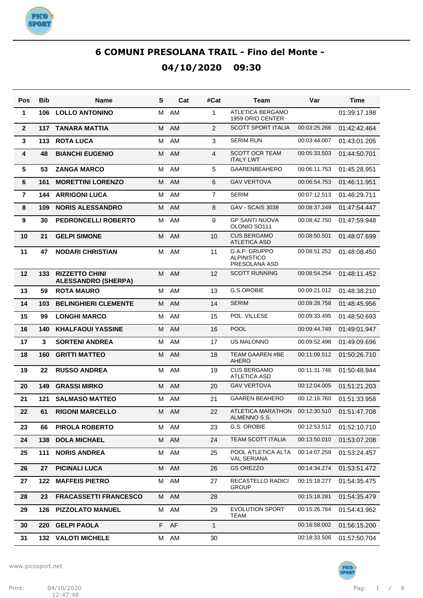

| Pos            | <b>Bib</b> | Name                                                | S | Cat  | #Cat           | Team                                                 | Var          | Time         |
|----------------|------------|-----------------------------------------------------|---|------|----------------|------------------------------------------------------|--------------|--------------|
| 1              | 106        | <b>LOLLO ANTONINO</b>                               | м | AM   | 1              | <b>ATLETICA BERGAMO</b><br>1959 ORIO CENTER          |              | 01:39:17.198 |
| $\mathbf{2}$   | 117        | <b>TANARA MATTIA</b>                                | M | AM   | 2              | <b>SCOTT SPORT ITALIA</b>                            | 00:03:25.266 | 01:42:42.464 |
| 3              | 113        | <b>ROTA LUCA</b>                                    | м | AM   | 3              | <b>SERIM RUN</b>                                     | 00:03:44.007 | 01:43:01.205 |
| 4              | 48         | <b>BIANCHI EUGENIO</b>                              | M | AM   | 4              | <b>SCOTT OCR TEAM</b><br><b>ITALY LWT</b>            | 00:05:33.503 | 01:44:50.701 |
| 5              | 53         | <b>ZANGA MARCO</b>                                  | М | AM   | 5              | <b>GAARENBEAHERO</b>                                 | 00:06:11.753 | 01:45:28.951 |
| 6              | 161        | <b>MORETTINI LORENZO</b>                            | М | AM   | 6              | <b>GAV VERTOVA</b>                                   | 00:06:54.753 | 01:46:11.951 |
| $\overline{7}$ | 144        | <b>ARRIGONI LUCA</b>                                | М | AM   | $\overline{7}$ | <b>SERIM</b>                                         | 00:07:12.513 | 01:46:29.711 |
| 8              | 109        | <b>NORIS ALESSANDRO</b>                             | М | AM   | 8              | <b>GAV - SCAIS 3038</b>                              | 00:08:37.249 | 01:47:54.447 |
| 9              | 30         | PEDRONCELLI ROBERTO                                 | М | AM   | 9              | <b>GP SANTI NUOVA</b><br>OLONIO SO111                | 00:08:42.750 | 01:47:59.948 |
| 10             | 21         | <b>GELPI SIMONE</b>                                 | M | AM   | 10             | <b>CUS BERGAMO</b><br><b>ATLETICA ASD</b>            | 00:08:50.501 | 01:48:07.699 |
| 11             | 47         | <b>NODARI CHRISTIAN</b>                             | м | AM   | 11             | G.A.P. GRUPPO<br><b>ALPINISTICO</b><br>PRESOLANA ASD | 00:08:51.252 | 01:48:08.450 |
| 12             | 133        | <b>RIZZETTO CHINI</b><br><b>ALESSANDRO (SHERPA)</b> | M | AM   | 12             | <b>SCOTT RUNNING</b>                                 | 00:08:54.254 | 01:48:11.452 |
| 13             | 59         | <b>ROTA MAURO</b>                                   | М | AM   | 13             | G.S.OROBIE                                           | 00:09:21.012 | 01:48:38.210 |
| 14             | 103        | <b>BELINGHIERI CLEMENTE</b>                         | M | AM   | 14             | <b>SERIM</b>                                         | 00:09:28.758 | 01:48:45.956 |
| 15             | 99         | <b>LONGHI MARCO</b>                                 | М | AM   | 15             | POL. VILLESE                                         | 00:09:33.495 | 01:48:50.693 |
| 16             | 140        | <b>KHALFAOUI YASSINE</b>                            | M | AM   | 16             | <b>POOL</b>                                          | 00:09:44.749 | 01:49:01.947 |
| 17             | 3          | <b>SORTENI ANDREA</b>                               | М | AM   | 17             | <b>US MALONNO</b>                                    | 00:09:52.498 | 01:49:09.696 |
| 18             | 160        | <b>GRITTI MATTEO</b>                                | M | AM   | 18             | <b>TEAM GAAREN #BE</b><br><b>AHERO</b>               | 00:11:09.512 | 01:50:26.710 |
| 19             | 22         | <b>RUSSO ANDREA</b>                                 | м | AM   | 19             | <b>CUS BERGAMO</b><br><b>ATLETICA ASD</b>            | 00:11:31.746 | 01:50:48.944 |
| 20             | 149        | <b>GRASSI MIRKO</b>                                 | M | AM   | 20             | <b>GAV VERTOVA</b>                                   | 00:12:04.005 | 01:51:21.203 |
| 21             | 121        | <b>SALMASO MATTEO</b>                               | М | AM   | 21             | <b>GAAREN BEAHERO</b>                                | 00:12:16.760 | 01:51:33.958 |
| 22             | 61         | <b>RIGONI MARCELLO</b>                              | м | AM   | 22             | ATLETICA MARATHON<br>ALMENNO S.S.                    | 00:12:30.510 | 01:51:47.708 |
| 23             | 66         | PIROLA ROBERTO                                      |   | M AM | 23             | G.S. OROBIE                                          | 00:12:53.512 | 01:52:10.710 |
| 24             | 138        | <b>DOLA MICHAEL</b>                                 |   | M AM | 24             | TEAM SCOTT ITALIA                                    | 00:13:50.010 | 01:53:07.208 |
| 25             | 111        | <b>NORIS ANDREA</b>                                 | М | AM   | 25             | POOL ATLETICA ALTA<br><b>VAL SERIANA</b>             | 00:14:07.259 | 01:53:24.457 |
| 26             | 27         | <b>PICINALI LUCA</b>                                | M | AM   | 26             | <b>GS OREZZO</b>                                     | 00:14:34.274 | 01:53:51.472 |
| 27             | 122        | <b>MAFFEIS PIETRO</b>                               | М | AM   | 27             | RECASTELLO RADICI<br><b>GROUP</b>                    | 00:15:18.277 | 01:54:35.475 |
| 28             | 23         | <b>FRACASSETTI FRANCESCO</b>                        |   | M AM | 28             |                                                      | 00:15:18.281 | 01:54:35.479 |
| 29             | 126        | <b>PIZZOLATO MANUEL</b>                             |   | M AM | 29             | <b>EVOLUTION SPORT</b><br>TEAM                       | 00:15:26.764 | 01:54:43.962 |
| 30             |            | 220 GELPI PAOLA                                     |   | F AF | $\mathbf{1}$   |                                                      | 00:16:58.002 | 01:56:15.200 |
| 31             |            | <b>132 VALOTI MICHELE</b>                           |   | M AM | 30             |                                                      | 00:18:33.506 | 01:57:50.704 |

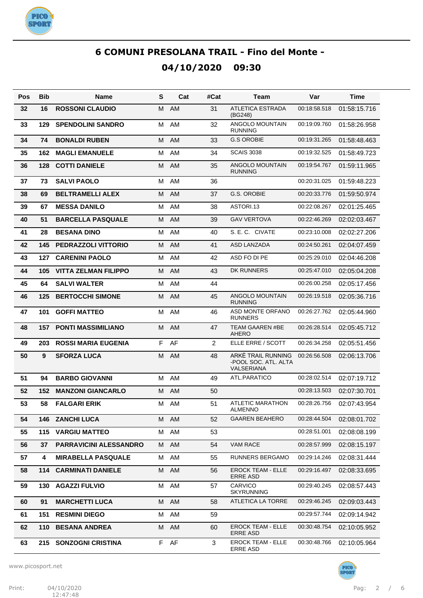

| Pos | Bib | <b>Name</b>                   | S | Cat       | #Cat | Team                                                     | Var          | Time         |
|-----|-----|-------------------------------|---|-----------|------|----------------------------------------------------------|--------------|--------------|
| 32  | 16  | <b>ROSSONI CLAUDIO</b>        | м | <b>AM</b> | 31   | <b>ATLETICA ESTRADA</b><br>(BG248)                       | 00:18:58.518 | 01:58:15.716 |
| 33  | 129 | <b>SPENDOLINI SANDRO</b>      | М | AM        | 32   | ANGOLO MOUNTAIN<br><b>RUNNING</b>                        | 00:19:09.760 | 01:58:26.958 |
| 34  | 74  | <b>BONALDI RUBEN</b>          | м | <b>AM</b> | 33   | <b>G.S OROBIE</b>                                        | 00:19:31.265 | 01:58:48.463 |
| 35  | 162 | <b>MAGLI EMANUELE</b>         | м | AM        | 34   | <b>SCAIS 3038</b>                                        | 00:19:32.525 | 01:58:49.723 |
| 36  | 128 | <b>COTTI DANIELE</b>          | м | <b>AM</b> | 35   | <b>ANGOLO MOUNTAIN</b><br><b>RUNNING</b>                 | 00:19:54.767 | 01:59:11.965 |
| 37  | 73  | <b>SALVI PAOLO</b>            | М | AM        | 36   |                                                          | 00:20:31.025 | 01:59:48.223 |
| 38  | 69  | <b>BELTRAMELLI ALEX</b>       | м | AM        | 37   | G.S. OROBIE                                              | 00:20:33.776 | 01:59:50.974 |
| 39  | 67  | <b>MESSA DANILO</b>           | М | AM        | 38   | ASTORI.13                                                | 00:22:08.267 | 02:01:25.465 |
| 40  | 51  | <b>BARCELLA PASQUALE</b>      | м | AM        | 39   | <b>GAV VERTOVA</b>                                       | 00:22:46.269 | 02:02:03.467 |
| 41  | 28  | <b>BESANA DINO</b>            | М | AM        | 40   | S. E. C. CIVATE                                          | 00:23:10.008 | 02:02:27.206 |
| 42  | 145 | <b>PEDRAZZOLI VITTORIO</b>    | M | AM        | 41   | ASD LANZADA                                              | 00:24:50.261 | 02:04:07.459 |
| 43  | 127 | <b>CARENINI PAOLO</b>         | М | AM        | 42   | ASD FO DI PE                                             | 00:25:29.010 | 02:04:46.208 |
| 44  | 105 | <b>VITTA ZELMAN FILIPPO</b>   | M | AM        | 43   | DK RUNNERS                                               | 00:25:47.010 | 02:05:04.208 |
| 45  | 64  | <b>SALVI WALTER</b>           | M | AM        | 44   |                                                          | 00:26:00.258 | 02:05:17.456 |
| 46  | 125 | <b>BERTOCCHI SIMONE</b>       | м | AM        | 45   | ANGOLO MOUNTAIN<br><b>RUNNING</b>                        | 00:26:19.518 | 02:05:36.716 |
| 47  | 101 | <b>GOFFI MATTEO</b>           | M | AM        | 46   | ASD MONTE ORFANO<br><b>RUNNERS</b>                       | 00:26:27.762 | 02:05:44.960 |
| 48  | 157 | <b>PONTI MASSIMILIANO</b>     | M | AM        | 47   | <b>TEAM GAAREN #BE</b><br>AHERO                          | 00:26:28.514 | 02:05:45.712 |
| 49  | 203 | <b>ROSSI MARIA EUGENIA</b>    | F | AF        | 2    | ELLE ERRE / SCOTT                                        | 00:26:34.258 | 02:05:51.456 |
| 50  | 9   | <b>SFORZA LUCA</b>            | M | AM        | 48   | ARKÉ TRAIL RUNNING<br>-POOL SOC. ATL. ALTA<br>VALSERIANA | 00:26:56.508 | 02:06:13.706 |
| 51  | 94  | <b>BARBO GIOVANNI</b>         | M | AM        | 49   | ATL.PARATICO                                             | 00:28:02.514 | 02:07:19.712 |
| 52  | 152 | <b>MANZONI GIANCARLO</b>      | М | AM        | 50   |                                                          | 00:28:13.503 | 02:07:30.701 |
| 53  | 58  | <b>FALGARI ERIK</b>           |   | M AM      | 51   | <b>ATLETIC MARATHON</b><br>ALMENNO                       | 00:28:26.756 | 02:07:43.954 |
| 54  | 146 | <b>ZANCHI LUCA</b>            |   | M AM      | 52   | GAAREN BEAHERO                                           | 00:28:44.504 | 02:08:01.702 |
| 55  | 115 | <b>VARGIU MATTEO</b>          | М | AM        | 53   |                                                          | 00:28:51.001 | 02:08:08.199 |
| 56  | 37  | <b>PARRAVICINI ALESSANDRO</b> | M | AM        | 54   | <b>VAM RACE</b>                                          | 00:28:57.999 | 02:08:15.197 |
| 57  | 4   | <b>MIRABELLA PASQUALE</b>     | м | AM        | 55   | RUNNERS BERGAMO                                          | 00:29:14.246 | 02:08:31.444 |
| 58  | 114 | <b>CARMINATI DANIELE</b>      | М | AM        | 56   | <b>EROCK TEAM - ELLE</b><br>ERRE ASD                     | 00:29:16.497 | 02:08:33.695 |
| 59  | 130 | <b>AGAZZI FULVIO</b>          | М | AM        | 57   | CARVICO<br><b>SKYRUNNING</b>                             | 00:29:40.245 | 02:08:57.443 |
| 60  | 91  | <b>MARCHETTI LUCA</b>         | М | AM        | 58   | ATLETICA LA TORRE                                        | 00:29:46.245 | 02:09:03.443 |
| 61  | 151 | <b>RESMINI DIEGO</b>          | м | AM        | 59   |                                                          | 00:29:57.744 | 02:09:14.942 |
| 62  | 110 | <b>BESANA ANDREA</b>          | М | AM        | 60   | <b>EROCK TEAM - ELLE</b><br><b>ERRE ASD</b>              | 00:30:48.754 | 02:10:05.952 |
| 63  | 215 | <b>SONZOGNI CRISTINA</b>      | F | AF        | 3    | <b>EROCK TEAM - ELLE</b><br><b>ERRE ASD</b>              | 00:30:48.766 | 02:10:05.964 |

www.picosport.net



PICO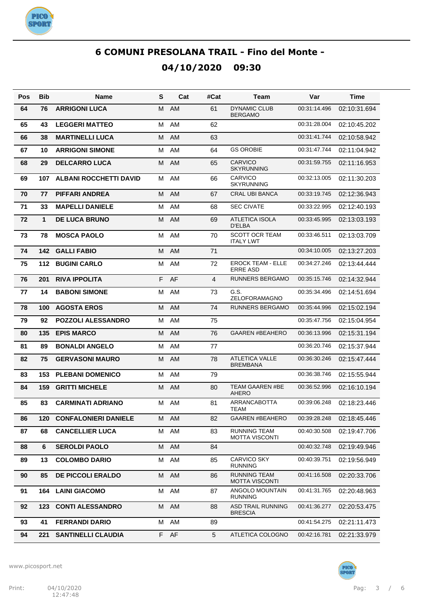

| <b>Pos</b> | <b>Bib</b>   | Name                            | S | Cat  | #Cat | Team                                         | Var          | Time         |
|------------|--------------|---------------------------------|---|------|------|----------------------------------------------|--------------|--------------|
| 64         | 76           | <b>ARRIGONI LUCA</b>            | м | AM   | 61   | <b>DYNAMIC CLUB</b><br>BERGAMO               | 00:31:14.496 | 02:10:31.694 |
| 65         | 43           | <b>LEGGERI MATTEO</b>           | М | AM   | 62   |                                              | 00:31:28.004 | 02:10:45.202 |
| 66         | 38           | <b>MARTINELLI LUCA</b>          | м | AM   | 63   |                                              | 00:31:41.744 | 02:10:58.942 |
| 67         | 10           | <b>ARRIGONI SIMONE</b>          | М | AM   | 64   | <b>GS OROBIE</b>                             | 00:31:47.744 | 02:11:04.942 |
| 68         | 29           | <b>DELCARRO LUCA</b>            | м | AM   | 65   | <b>CARVICO</b><br><b>SKYRUNNING</b>          | 00:31:59.755 | 02:11:16.953 |
| 69         | 107          | <b>ALBANI ROCCHETTI DAVID</b>   | м | AM   | 66   | <b>CARVICO</b><br><b>SKYRUNNING</b>          | 00:32:13.005 | 02:11:30.203 |
| 70         | 77           | <b>PIFFARI ANDREA</b>           | м | AM   | 67   | <b>CRAL UBI BANCA</b>                        | 00:33:19.745 | 02:12:36.943 |
| 71         | 33           | <b>MAPELLI DANIELE</b>          | м | AM   | 68   | <b>SEC CIVATE</b>                            | 00:33:22.995 | 02:12:40.193 |
| 72         | $\mathbf{1}$ | <b>DE LUCA BRUNO</b>            | м | AM   | 69   | <b>ATLETICA ISOLA</b><br>D'ELBA              | 00:33:45.995 | 02:13:03.193 |
| 73         | 78           | <b>MOSCA PAOLO</b>              | М | AM   | 70   | <b>SCOTT OCR TEAM</b><br><b>ITALY LWT</b>    | 00:33:46.511 | 02:13:03.709 |
| 74         | 142          | <b>GALLI FABIO</b>              | M | AM   | 71   |                                              | 00:34:10.005 | 02:13:27.203 |
| 75         | $112$        | <b>BUGINI CARLO</b>             | м | AM   | 72   | <b>EROCK TEAM - ELLE</b><br><b>ERRE ASD</b>  | 00:34:27.246 | 02:13:44.444 |
| 76         | 201          | <b>RIVA IPPOLITA</b>            | F | AF   | 4    | <b>RUNNERS BERGAMO</b>                       | 00:35:15.746 | 02:14:32.944 |
| 77         | 14           | <b>BABONI SIMONE</b>            | М | AM   | 73   | G.S.<br><b>ZELOFORAMAGNO</b>                 | 00:35:34.496 | 02:14:51.694 |
| 78         | 100          | <b>AGOSTA EROS</b>              |   | M AM | 74   | <b>RUNNERS BERGAMO</b>                       | 00:35:44.996 | 02:15:02.194 |
| 79         | 92           | <b>POZZOLI ALESSANDRO</b>       | м | AM   | 75   |                                              | 00:35:47.756 | 02:15:04.954 |
| 80         | 135          | <b>EPIS MARCO</b>               |   | M AM | 76   | <b>GAAREN #BEAHERO</b>                       | 00:36:13.996 | 02:15:31.194 |
| 81         | 89           | <b>BONALDI ANGELO</b>           | м | AM   | 77   |                                              | 00:36:20.746 | 02:15:37.944 |
| 82         | 75           | <b>GERVASONI MAURO</b>          | м | AM   | 78   | <b>ATLETICA VALLE</b><br><b>BREMBANA</b>     | 00:36:30.246 | 02:15:47.444 |
| 83         | 153          | <b>PLEBANI DOMENICO</b>         | м | AM   | 79   |                                              | 00:36:38.746 | 02:15:55.944 |
| 84         | 159          | <b>GRITTI MICHELE</b>           | M | AM   | 80   | <b>TEAM GAAREN #BE</b><br><b>AHERO</b>       | 00:36:52.996 | 02:16:10.194 |
| 85         | 83           | <b>CARMINATI ADRIANO</b>        | м | AM   | 81   | ARRANCABOTTA<br>TEAM                         | 00:39:06.248 | 02:18:23.446 |
| 86         |              | <b>120 CONFALONIERI DANIELE</b> |   | M AM | 82   | GAAREN #BEAHERO                              | 00:39:28.248 | 02:18:45.446 |
| 87         | 68           | <b>CANCELLIER LUCA</b>          |   | M AM | 83   | <b>RUNNING TEAM</b><br><b>MOTTA VISCONTI</b> | 00:40:30.508 | 02:19:47.706 |
| 88         | 6            | <b>SEROLDI PAOLO</b>            |   | M AM | 84   |                                              | 00:40:32.748 | 02:19:49.946 |
| 89         | 13           | <b>COLOMBO DARIO</b>            | М | AM   | 85   | <b>CARVICO SKY</b><br><b>RUNNING</b>         | 00:40:39.751 | 02:19:56.949 |
| 90         | 85           | DE PICCOLI ERALDO               | M | AM   | 86   | <b>RUNNING TEAM</b><br><b>MOTTA VISCONTI</b> | 00:41:16.508 | 02:20:33.706 |
| 91         | 164          | <b>LAINI GIACOMO</b>            |   | M AM | 87   | ANGOLO MOUNTAIN<br><b>RUNNING</b>            | 00:41:31.765 | 02:20:48.963 |
| 92         |              | 123 CONTI ALESSANDRO            |   | M AM | 88   | <b>ASD TRAIL RUNNING</b><br><b>BRESCIA</b>   | 00:41:36.277 | 02:20:53.475 |
| 93         | 41           | <b>FERRANDI DARIO</b>           | М | AM   | 89   |                                              | 00:41:54.275 | 02:21:11.473 |
| 94         | 221          | <b>SANTINELLI CLAUDIA</b>       |   | F AF | 5    | ATLETICA COLOGNO                             | 00:42:16.781 | 02:21:33.979 |

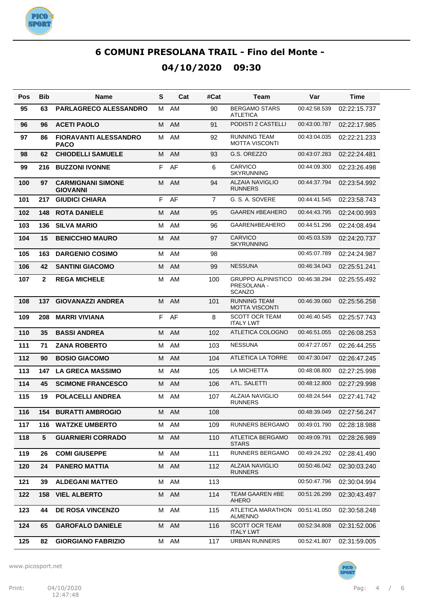

| Pos | <b>Bib</b>      | Name                                        | S | Cat  | #Cat           | Team                                                      | Var          | Time         |
|-----|-----------------|---------------------------------------------|---|------|----------------|-----------------------------------------------------------|--------------|--------------|
| 95  | 63              | <b>PARLAGRECO ALESSANDRO</b>                | м | AM   | 90             | <b>BERGAMO STARS</b><br><b>ATLETICA</b>                   | 00:42:58.539 | 02:22:15.737 |
| 96  | 96              | <b>ACETI PAOLO</b>                          | м | AM   | 91             | PODISTI 2 CASTELLI                                        | 00:43:00.787 | 02:22:17.985 |
| 97  | 86              | <b>FIORAVANTI ALESSANDRO</b><br><b>PACO</b> | м | AM   | 92             | <b>RUNNING TEAM</b><br><b>MOTTA VISCONTI</b>              | 00:43:04.035 | 02:22:21.233 |
| 98  | 62              | <b>CHIODELLI SAMUELE</b>                    | м | AM   | 93             | G.S. OREZZO                                               | 00:43:07.283 | 02:22:24.481 |
| 99  | 216             | <b>BUZZONI IVONNE</b>                       | F | AF   | 6              | <b>CARVICO</b><br><b>SKYRUNNING</b>                       | 00:44:09.300 | 02:23:26.498 |
| 100 | 97              | <b>CARMIGNANI SIMONE</b><br><b>GIOVANNI</b> | M | AM   | 94             | <b>ALZAIA NAVIGLIO</b><br><b>RUNNERS</b>                  | 00:44:37.794 | 02:23:54.992 |
| 101 | 217             | <b>GIUDICI CHIARA</b>                       | F | AF   | $\overline{7}$ | G. S. A. SOVERE                                           | 00:44:41.545 | 02:23:58.743 |
| 102 | 148             | <b>ROTA DANIELE</b>                         | м | AM   | 95             | <b>GAAREN #BEAHERO</b>                                    | 00:44:43.795 | 02:24:00.993 |
| 103 | 136             | <b>SILVA MARIO</b>                          | м | AM   | 96             | GAAREN#BEAHERO                                            | 00:44:51.296 | 02:24:08.494 |
| 104 | 15              | <b>BENICCHIO MAURO</b>                      | м | AM   | 97             | <b>CARVICO</b><br><b>SKYRUNNING</b>                       | 00:45:03.539 | 02:24:20.737 |
| 105 | 163             | <b>DARGENIO COSIMO</b>                      | М | AM   | 98             |                                                           | 00:45:07.789 | 02:24:24.987 |
| 106 | 42              | <b>SANTINI GIACOMO</b>                      | M | AM   | 99             | <b>NESSUNA</b>                                            | 00:46:34.043 | 02:25:51.241 |
| 107 | $\mathbf{2}$    | <b>REGA MICHELE</b>                         | м | AM   | 100            | <b>GRUPPO ALPINISTICO</b><br>PRESOLANA -<br><b>SCANZO</b> | 00:46:38.294 | 02:25:55.492 |
| 108 | 137             | <b>GIOVANAZZI ANDREA</b>                    | M | AM   | 101            | <b>RUNNING TEAM</b><br><b>MOTTA VISCONTI</b>              | 00:46:39.060 | 02:25:56.258 |
| 109 | 208             | <b>MARRI VIVIANA</b>                        | F | AF   | 8              | <b>SCOTT OCR TEAM</b><br><b>ITALY LWT</b>                 | 00:46:40.545 | 02:25:57.743 |
| 110 | 35              | <b>BASSI ANDREA</b>                         | м | AM   | 102            | ATLETICA COLOGNO                                          | 00:46:51.055 | 02:26:08.253 |
| 111 | 71              | <b>ZANA ROBERTO</b>                         | м | AM   | 103            | <b>NESSUNA</b>                                            | 00:47:27.057 | 02:26:44.255 |
| 112 | 90              | <b>BOSIO GIACOMO</b>                        | м | AM   | 104            | ATLETICA LA TORRE                                         | 00:47:30.047 | 02:26:47.245 |
| 113 | 147             | <b>LA GRECA MASSIMO</b>                     | м | AM   | 105            | LA MICHETTA                                               | 00:48:08.800 | 02:27:25.998 |
| 114 | 45              | <b>SCIMONE FRANCESCO</b>                    | м | AM   | 106            | ATL. SALETTI                                              | 00:48:12.800 | 02:27:29.998 |
| 115 | 19              | <b>POLACELLI ANDREA</b>                     | м | AM   | 107            | <b>ALZAIA NAVIGLIO</b><br><b>RUNNERS</b>                  | 00:48:24.544 | 02:27:41.742 |
| 116 | 154             | <b>BURATTI AMBROGIO</b>                     |   | M AM | 108            |                                                           | 00:48:39.049 | 02:27:56.247 |
| 117 | 116             | <b>WATZKE UMBERTO</b>                       | м | AM   | 109            | RUNNERS BERGAMO                                           | 00:49:01.790 | 02:28:18.988 |
| 118 | $5\phantom{.0}$ | <b>GUARNIERI CORRADO</b>                    | м | AM   | 110            | ATLETICA BERGAMO<br><b>STARS</b>                          | 00:49:09.791 | 02:28:26.989 |
| 119 | 26              | <b>COMI GIUSEPPE</b>                        | м | AM   | 111            | <b>RUNNERS BERGAMO</b>                                    | 00:49:24.292 | 02:28:41.490 |
| 120 | 24              | <b>PANERO MATTIA</b>                        | м | AM   | 112            | <b>ALZAIA NAVIGLIO</b><br><b>RUNNERS</b>                  | 00:50:46.042 | 02:30:03.240 |
| 121 | 39              | <b>ALDEGANI MATTEO</b>                      | м | AM   | 113            |                                                           | 00:50:47.796 | 02:30:04.994 |
| 122 | 158             | <b>VIEL ALBERTO</b>                         | М | AM   | 114            | <b>TEAM GAAREN #BE</b><br>AHERO                           | 00:51:26.299 | 02:30:43.497 |
| 123 | 44              | <b>DE ROSA VINCENZO</b>                     | м | AM   | 115            | ATLETICA MARATHON<br><b>ALMENNO</b>                       | 00:51:41.050 | 02:30:58.248 |
| 124 | 65              | <b>GAROFALO DANIELE</b>                     | м | AM   | 116            | <b>SCOTT OCR TEAM</b><br><b>ITALY LWT</b>                 | 00:52:34.808 | 02:31:52.006 |
| 125 | 82              | <b>GIORGIANO FABRIZIO</b>                   | м | AM   | 117            | <b>URBAN RUNNERS</b>                                      | 00:52:41.807 | 02:31:59.005 |

www.picosport.net



PICO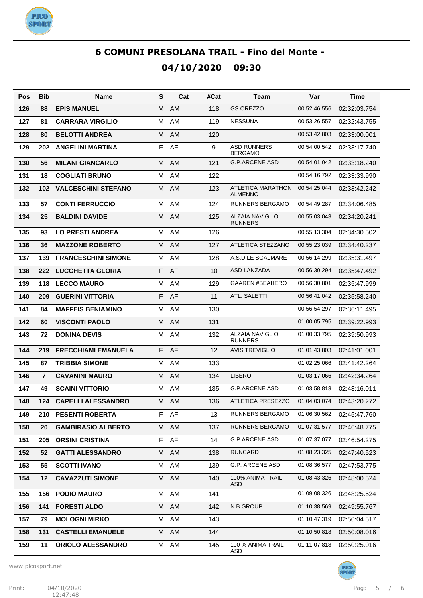

| Pos | <b>Bib</b>     | <b>Name</b>                | S  | Cat  | #Cat | Team                                       | Var          | Time         |
|-----|----------------|----------------------------|----|------|------|--------------------------------------------|--------------|--------------|
| 126 | 88             | <b>EPIS MANUEL</b>         | м  | AM   | 118  | <b>GS OREZZO</b>                           | 00:52:46.556 | 02:32:03.754 |
| 127 | 81             | <b>CARRARA VIRGILIO</b>    | M  | AM   | 119  | <b>NESSUNA</b>                             | 00:53:26.557 | 02:32:43.755 |
| 128 | 80             | <b>BELOTTI ANDREA</b>      | M  | AM   | 120  |                                            | 00:53:42.803 | 02:33:00.001 |
| 129 | 202            | <b>ANGELINI MARTINA</b>    | F  | AF   | 9    | <b>ASD RUNNERS</b><br><b>BERGAMO</b>       | 00:54:00.542 | 02:33:17.740 |
| 130 | 56             | <b>MILANI GIANCARLO</b>    | м  | AM   | 121  | <b>G.P.ARCENE ASD</b>                      | 00:54:01.042 | 02:33:18.240 |
| 131 | 18             | <b>COGLIATI BRUNO</b>      | M  | AM   | 122  |                                            | 00:54:16.792 | 02:33:33.990 |
| 132 | 102            | <b>VALCESCHINI STEFANO</b> | м  | AM   | 123  | <b>ATLETICA MARATHON</b><br><b>ALMENNO</b> | 00:54:25.044 | 02:33:42.242 |
| 133 | 57             | <b>CONTI FERRUCCIO</b>     | M  | AM   | 124  | <b>RUNNERS BERGAMO</b>                     | 00:54:49.287 | 02:34:06.485 |
| 134 | 25             | <b>BALDINI DAVIDE</b>      | M  | AM   | 125  | <b>ALZAIA NAVIGLIO</b><br><b>RUNNERS</b>   | 00:55:03.043 | 02:34:20.241 |
| 135 | 93             | <b>LO PRESTI ANDREA</b>    | M  | AM   | 126  |                                            | 00:55:13.304 | 02:34:30.502 |
| 136 | 36             | <b>MAZZONE ROBERTO</b>     | M  | AM   | 127  | <b>ATLETICA STEZZANO</b>                   | 00:55:23.039 | 02:34:40.237 |
| 137 | 139            | <b>FRANCESCHINI SIMONE</b> | M  | AM   | 128  | A.S.D.LE SGALMARE                          | 00:56:14.299 | 02:35:31.497 |
| 138 | 222            | <b>LUCCHETTA GLORIA</b>    | F  | AF   | 10   | <b>ASD LANZADA</b>                         | 00:56:30.294 | 02:35:47.492 |
| 139 | 118            | <b>LECCO MAURO</b>         | M  | AM   | 129  | <b>GAAREN #BEAHERO</b>                     | 00:56:30.801 | 02:35:47.999 |
| 140 | 209            | <b>GUERINI VITTORIA</b>    | F  | AF   | 11   | ATL. SALETTI                               | 00:56:41.042 | 02:35:58.240 |
| 141 | 84             | <b>MAFFEIS BENIAMINO</b>   | M  | AM   | 130  |                                            | 00:56:54.297 | 02:36:11.495 |
| 142 | 60             | <b>VISCONTI PAOLO</b>      | M  | AM   | 131  |                                            | 01:00:05.795 | 02:39:22.993 |
| 143 | 72             | <b>DONINA DEVIS</b>        | M  | AM   | 132  | <b>ALZAIA NAVIGLIO</b><br><b>RUNNERS</b>   | 01:00:33.795 | 02:39:50.993 |
| 144 | 219            | <b>FRECCHIAMI EMANUELA</b> | F. | AF   | 12   | <b>AVIS TREVIGLIO</b>                      | 01:01:43.803 | 02:41:01.001 |
| 145 | 87             | <b>TRIBBIA SIMONE</b>      | м  | AM   | 133  |                                            | 01:02:25.066 | 02:41:42.264 |
| 146 | $\overline{7}$ | <b>CAVANINI MAURO</b>      | M  | AM   | 134  | <b>LIBERO</b>                              | 01:03:17.066 | 02:42:34.264 |
| 147 | 49             | <b>SCAINI VITTORIO</b>     | м  | AM   | 135  | <b>G.P.ARCENE ASD</b>                      | 01:03:58.813 | 02:43:16.011 |
| 148 | 124            | <b>CAPELLI ALESSANDRO</b>  | м  | AM   | 136  | <b>ATLETICA PRESEZZO</b>                   | 01:04:03.074 | 02:43:20.272 |
| 149 | 210            | <b>PESENTI ROBERTA</b>     |    | F AF | 13   | <b>RUNNERS BERGAMO</b>                     | 01:06:30.562 | 02:45:47.760 |
| 150 | 20             | <b>GAMBIRASIO ALBERTO</b>  | М  | AM   | 137  | RUNNERS BERGAMO                            | 01:07:31.577 | 02:46:48.775 |
| 151 | 205            | <b>ORSINI CRISTINA</b>     | F. | AF   | 14   | <b>G.P.ARCENE ASD</b>                      | 01:07:37.077 | 02:46:54.275 |
| 152 | 52             | <b>GATTI ALESSANDRO</b>    | M  | AM   | 138  | <b>RUNCARD</b>                             | 01:08:23.325 | 02:47:40.523 |
| 153 | 55             | <b>SCOTTI IVANO</b>        | м  | AM   | 139  | G.P. ARCENE ASD                            | 01:08:36.577 | 02:47:53.775 |
| 154 | 12             | <b>CAVAZZUTI SIMONE</b>    | М  | AM   | 140  | 100% ANIMA TRAIL<br>ASD                    | 01:08:43.326 | 02:48:00.524 |
| 155 | 156            | <b>PODIO MAURO</b>         | М  | AM   | 141  |                                            | 01:09:08.326 | 02:48:25.524 |
| 156 | 141            | <b>FORESTI ALDO</b>        | M  | AM   | 142  | N.B.GROUP                                  | 01:10:38.569 | 02:49:55.767 |
| 157 | 79             | <b>MOLOGNI MIRKO</b>       | м  | AM   | 143  |                                            | 01:10:47.319 | 02:50:04.517 |
| 158 | 131            | <b>CASTELLI EMANUELE</b>   | M  | AM   | 144  |                                            | 01:10:50.818 | 02:50:08.016 |
| 159 | 11             | <b>ORIOLO ALESSANDRO</b>   | М  | AM   | 145  | 100 % ANIMA TRAIL<br>ASD                   | 01:11:07.818 | 02:50:25.016 |

www.picosport.net



**PICO<sup>.</sup>**<br>SPORT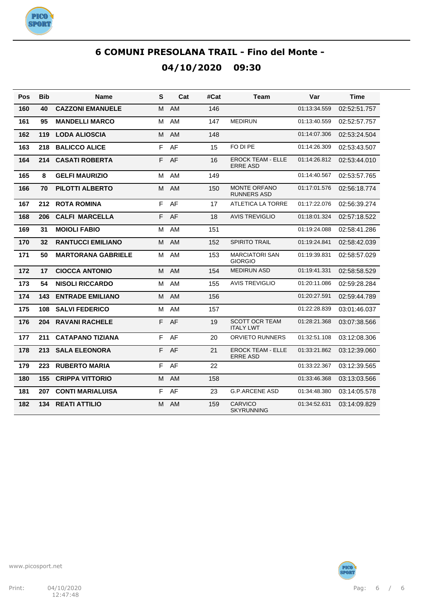

| Pos | Bib | <b>Name</b>               | S | Cat       | #Cat | Team                                        | Var          | <b>Time</b>  |
|-----|-----|---------------------------|---|-----------|------|---------------------------------------------|--------------|--------------|
| 160 | 40  | <b>CAZZONI EMANUELE</b>   | м | <b>AM</b> | 146  |                                             | 01:13:34.559 | 02:52:51.757 |
| 161 | 95  | <b>MANDELLI MARCO</b>     | м | AM        | 147  | <b>MEDIRUN</b>                              | 01:13:40.559 | 02:52:57.757 |
| 162 | 119 | <b>LODA ALIOSCIA</b>      | м | <b>AM</b> | 148  |                                             | 01:14:07.306 | 02:53:24.504 |
| 163 | 218 | <b>BALICCO ALICE</b>      | F | AF        | 15   | FO DI PE                                    | 01:14:26.309 | 02:53:43.507 |
| 164 | 214 | <b>CASATI ROBERTA</b>     | F | AF        | 16   | <b>EROCK TEAM - ELLE</b><br><b>ERRE ASD</b> | 01:14:26.812 | 02:53:44.010 |
| 165 | 8   | <b>GELFI MAURIZIO</b>     | М | AM        | 149  |                                             | 01:14:40.567 | 02:53:57.765 |
| 166 | 70  | <b>PILOTTI ALBERTO</b>    | М | AM        | 150  | <b>MONTE ORFANO</b><br><b>RUNNERS ASD</b>   | 01:17:01.576 | 02:56:18.774 |
| 167 | 212 | <b>ROTA ROMINA</b>        | F | AF        | 17   | <b>ATLETICA LA TORRE</b>                    | 01:17:22.076 | 02:56:39.274 |
| 168 | 206 | <b>CALFI MARCELLA</b>     | F | AF        | 18   | <b>AVIS TREVIGLIO</b>                       | 01:18:01.324 | 02:57:18.522 |
| 169 | 31  | <b>MOIOLI FABIO</b>       | М | AM        | 151  |                                             | 01:19:24.088 | 02:58:41.286 |
| 170 | 32  | <b>RANTUCCI EMILIANO</b>  | М | AM        | 152  | <b>SPIRITO TRAIL</b>                        | 01:19:24.841 | 02:58:42.039 |
| 171 | 50  | <b>MARTORANA GABRIELE</b> | M | AM        | 153  | <b>MARCIATORI SAN</b><br><b>GIORGIO</b>     | 01:19:39.831 | 02:58:57.029 |
| 172 | 17  | <b>CIOCCA ANTONIO</b>     | м | <b>AM</b> | 154  | <b>MEDIRUN ASD</b>                          | 01:19:41.331 | 02:58:58.529 |
| 173 | 54  | <b>NISOLI RICCARDO</b>    | M | AM        | 155  | <b>AVIS TREVIGLIO</b>                       | 01:20:11.086 | 02:59:28.284 |
| 174 | 143 | <b>ENTRADE EMILIANO</b>   | м | <b>AM</b> | 156  |                                             | 01:20:27.591 | 02:59:44.789 |
| 175 | 108 | <b>SALVI FEDERICO</b>     | м | AM        | 157  |                                             | 01:22:28.839 | 03:01:46.037 |
| 176 | 204 | <b>RAVANI RACHELE</b>     | F | AF        | 19   | <b>SCOTT OCR TEAM</b><br><b>ITALY LWT</b>   | 01:28:21.368 | 03:07:38.566 |
| 177 | 211 | <b>CATAPANO TIZIANA</b>   | F | AF        | 20   | <b>ORVIETO RUNNERS</b>                      | 01:32:51.108 | 03:12:08.306 |
| 178 | 213 | <b>SALA ELEONORA</b>      | F | AF        | 21   | <b>EROCK TEAM - ELLE</b><br><b>ERRE ASD</b> | 01:33:21.862 | 03:12:39.060 |
| 179 | 223 | <b>RUBERTO MARIA</b>      | F | AF        | 22   |                                             | 01:33:22.367 | 03:12:39.565 |
| 180 | 155 | <b>CRIPPA VITTORIO</b>    | M | AM        | 158  |                                             | 01:33:46.368 | 03:13:03.566 |
| 181 | 207 | <b>CONTI MARIALUISA</b>   | F | AF        | 23   | <b>G.P.ARCENE ASD</b>                       | 01:34:48.380 | 03:14:05.578 |
| 182 | 134 | <b>REATI ATTILIO</b>      | M | AM        | 159  | <b>CARVICO</b><br><b>SKYRUNNING</b>         | 01:34:52.631 | 03:14:09.829 |

**PICO<sup>.</sup>**<br>SPORT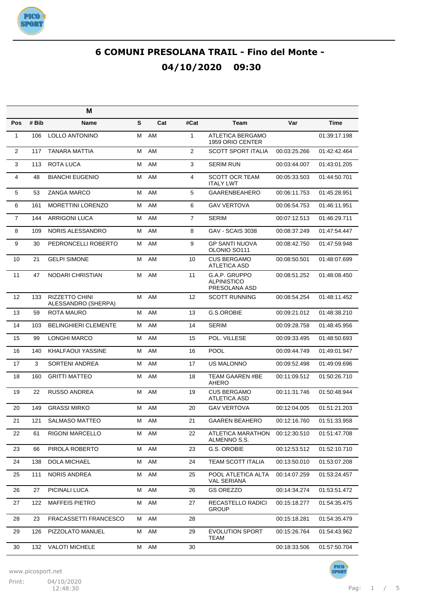

|                |       | M                                            |   |     |                |                                                      |              |              |
|----------------|-------|----------------------------------------------|---|-----|----------------|------------------------------------------------------|--------------|--------------|
| Pos            | # Bib | <b>Name</b>                                  | S | Cat | #Cat           | Team                                                 | Var          | <b>Time</b>  |
| $\mathbf{1}$   | 106   | <b>LOLLO ANTONINO</b>                        | M | AM  | $\mathbf{1}$   | ATLETICA BERGAMO<br>1959 ORIO CENTER                 |              | 01:39:17.198 |
| $\overline{2}$ | 117   | <b>TANARA MATTIA</b>                         | м | AM  | 2              | <b>SCOTT SPORT ITALIA</b>                            | 00:03:25.266 | 01:42:42.464 |
| 3              | 113   | ROTA LUCA                                    | м | AM  | 3              | <b>SERIM RUN</b>                                     | 00:03:44.007 | 01:43:01.205 |
| 4              | 48    | <b>BIANCHI EUGENIO</b>                       | М | AM  | 4              | <b>SCOTT OCR TEAM</b><br><b>ITALY LWT</b>            | 00:05:33.503 | 01:44:50.701 |
| 5              | 53    | <b>ZANGA MARCO</b>                           | м | AM  | 5              | <b>GAARENBEAHERO</b>                                 | 00:06:11.753 | 01:45:28.951 |
| 6              | 161   | <b>MORETTINI LORENZO</b>                     | м | AM  | 6              | <b>GAV VERTOVA</b>                                   | 00:06:54.753 | 01:46:11.951 |
| $\overline{7}$ | 144   | <b>ARRIGONI LUCA</b>                         | м | AM  | $\overline{7}$ | <b>SERIM</b>                                         | 00:07:12.513 | 01:46:29.711 |
| 8              | 109   | NORIS ALESSANDRO                             | м | AM  | 8              | GAV - SCAIS 3038                                     | 00:08:37.249 | 01:47:54.447 |
| 9              | 30    | PEDRONCELLI ROBERTO                          | м | AM  | 9              | <b>GP SANTI NUOVA</b><br>OLONIO SO <sub>111</sub>    | 00:08:42.750 | 01:47:59.948 |
| 10             | 21    | <b>GELPI SIMONE</b>                          | M | AM  | 10             | <b>CUS BERGAMO</b><br>ATLETICA ASD                   | 00:08:50.501 | 01:48:07.699 |
| 11             | 47    | <b>NODARI CHRISTIAN</b>                      | м | AM  | 11             | G.A.P. GRUPPO<br><b>ALPINISTICO</b><br>PRESOLANA ASD | 00:08:51.252 | 01:48:08.450 |
| 12             | 133   | <b>RIZZETTO CHINI</b><br>ALESSANDRO (SHERPA) | м | AM  | 12             | <b>SCOTT RUNNING</b>                                 | 00:08:54.254 | 01:48:11.452 |
| 13             | 59    | <b>ROTA MAURO</b>                            | M | AM  | 13             | G.S.OROBIE                                           | 00:09:21.012 | 01:48:38.210 |
| 14             | 103   | <b>BELINGHIERI CLEMENTE</b>                  | M | AM  | 14             | <b>SERIM</b>                                         | 00:09:28.758 | 01:48:45.956 |
| 15             | 99    | <b>LONGHI MARCO</b>                          | M | AM  | 15             | POL. VILLESE                                         | 00:09:33.495 | 01:48:50.693 |
| 16             | 140   | <b>KHALFAOUI YASSINE</b>                     | M | AM  | 16             | <b>POOL</b>                                          | 00:09:44.749 | 01:49:01.947 |
| 17             | 3     | <b>SORTENI ANDREA</b>                        | M | AM  | 17             | <b>US MALONNO</b>                                    | 00:09:52.498 | 01:49:09.696 |
| 18             | 160   | <b>GRITTI MATTEO</b>                         | M | AM  | 18             | TEAM GAAREN #BE<br>AHERO                             | 00:11:09.512 | 01:50:26.710 |
| 19             | 22    | <b>RUSSO ANDREA</b>                          | М | AM  | 19             | <b>CUS BERGAMO</b><br>ATLETICA ASD                   | 00:11:31.746 | 01:50:48.944 |
| 20             | 149   | <b>GRASSI MIRKO</b>                          | м | AM  | 20             | <b>GAV VERTOVA</b>                                   | 00:12:04.005 | 01:51:21.203 |
| 21             | 121   | <b>SALMASO MATTEO</b>                        | м | AM  | 21             | <b>GAAREN BEAHERO</b>                                | 00:12:16.760 | 01:51:33.958 |
| 22             | 61    | RIGONI MARCELLO                              | м | AM  | 22             | ATLETICA MARATHON<br>ALMENNO S.S.                    | 00:12:30.510 | 01:51:47.708 |
| 23             | 66    | PIROLA ROBERTO                               | м | AM  | 23             | G.S. OROBIE                                          | 00:12:53.512 | 01:52:10.710 |
| 24             | 138   | <b>DOLA MICHAEL</b>                          | M | AM  | 24             | <b>TEAM SCOTT ITALIA</b>                             | 00:13:50.010 | 01:53:07.208 |
| 25             | 111   | <b>NORIS ANDREA</b>                          | М | AM  | 25             | POOL ATLETICA ALTA<br><b>VAL SERIANA</b>             | 00:14:07.259 | 01:53:24.457 |
| 26             | 27    | PICINALI LUCA                                | Μ | AM  | 26             | <b>GS OREZZO</b>                                     | 00:14:34.274 | 01:53:51.472 |
| 27             | 122   | <b>MAFFEIS PIETRO</b>                        | М | AM  | 27             | RECASTELLO RADICI<br>GROUP                           | 00:15:18.277 | 01:54:35.475 |
| 28             | 23    | FRACASSETTI FRANCESCO                        | м | AM  | 28             |                                                      | 00:15:18.281 | 01:54:35.479 |
| 29             | 126   | PIZZOLATO MANUEL                             | М | AM  | 29             | <b>EVOLUTION SPORT</b><br><b>TEAM</b>                | 00:15:26.764 | 01:54:43.962 |
| 30             | 132   | <b>VALOTI MICHELE</b>                        | М | AM  | 30             |                                                      | 00:18:33.506 | 01:57:50.704 |

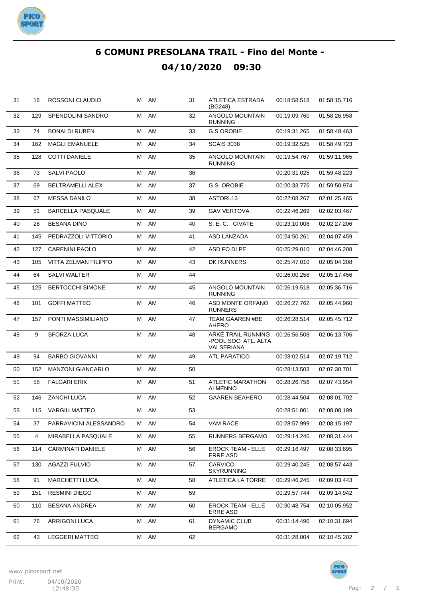

| 31 | 16  | ROSSONI CLAUDIO          |   | M AM | 31 | ATLETICA ESTRADA<br>(BG248)                              | 00:18:58.518 | 01:58:15.716 |
|----|-----|--------------------------|---|------|----|----------------------------------------------------------|--------------|--------------|
| 32 | 129 | SPENDOLINI SANDRO        | м | AM   | 32 | ANGOLO MOUNTAIN<br><b>RUNNING</b>                        | 00:19:09.760 | 01:58:26.958 |
| 33 | 74  | <b>BONALDI RUBEN</b>     | м | AM   | 33 | <b>G.S OROBIE</b>                                        | 00:19:31.265 | 01:58:48.463 |
| 34 | 162 | <b>MAGLI EMANUELE</b>    | м | AM   | 34 | <b>SCAIS 3038</b>                                        | 00:19:32.525 | 01:58:49.723 |
| 35 | 128 | <b>COTTI DANIELE</b>     | м | AM   | 35 | ANGOLO MOUNTAIN<br><b>RUNNING</b>                        | 00:19:54.767 | 01:59:11.965 |
| 36 | 73  | SALVI PAOLO              | м | AM   | 36 |                                                          | 00:20:31.025 | 01:59:48.223 |
| 37 | 69  | <b>BELTRAMELLI ALEX</b>  | м | AM   | 37 | G.S. OROBIE                                              | 00:20:33.776 | 01:59:50.974 |
| 38 | 67  | <b>MESSA DANILO</b>      | м | AM   | 38 | ASTORI.13                                                | 00:22:08.267 | 02:01:25.465 |
| 39 | 51  | <b>BARCELLA PASQUALE</b> | м | AM   | 39 | <b>GAV VERTOVA</b>                                       | 00:22:46.269 | 02:02:03.467 |
| 40 | 28  | <b>BESANA DINO</b>       | м | AM   | 40 | S. E. C. CIVATE                                          | 00:23:10.008 | 02:02:27.206 |
| 41 | 145 | PEDRAZZOLI VITTORIO      | м | AM   | 41 | <b>ASD LANZADA</b>                                       | 00:24:50.261 | 02:04:07.459 |
| 42 | 127 | <b>CARENINI PAOLO</b>    | м | AM   | 42 | ASD FO DI PE                                             | 00:25:29.010 | 02:04:46.208 |
| 43 | 105 | VITTA ZELMAN FILIPPO     | м | AM   | 43 | DK RUNNERS                                               | 00:25:47.010 | 02:05:04.208 |
| 44 | 64  | <b>SALVI WALTER</b>      | м | AM   | 44 |                                                          | 00:26:00.258 | 02:05:17.456 |
| 45 | 125 | <b>BERTOCCHI SIMONE</b>  | м | AM   | 45 | ANGOLO MOUNTAIN<br><b>RUNNING</b>                        | 00:26:19.518 | 02:05:36.716 |
| 46 | 101 | <b>GOFFI MATTEO</b>      | м | AM   | 46 | <b>ASD MONTE ORFANO</b><br><b>RUNNERS</b>                | 00:26:27.762 | 02:05:44.960 |
| 47 | 157 | PONTI MASSIMILIANO       | м | AM   | 47 | TEAM GAAREN #BE<br>AHERO                                 | 00:26:28.514 | 02:05:45.712 |
| 48 | 9   | <b>SFORZA LUCA</b>       | м | AM   | 48 | ARKÈ TRAIL RUNNING<br>-POOL SOC. ATL. ALTA<br>VALSERIANA | 00:26:56.508 | 02:06:13.706 |
| 49 | 94  | <b>BARBO GIOVANNI</b>    | м | AM   | 49 | ATL.PARATICO                                             | 00:28:02.514 | 02:07:19.712 |
| 50 | 152 | <b>MANZONI GIANCARLO</b> | м | AM   | 50 |                                                          | 00:28:13.503 | 02:07:30.701 |
| 51 | 58  | <b>FALGARI ERIK</b>      | м | AM   | 51 | ATLETIC MARATHON<br><b>ALMENNO</b>                       | 00:28:26.756 | 02:07:43.954 |
| 52 | 146 | <b>ZANCHI LUCA</b>       | м | AM   | 52 | <b>GAAREN BEAHERO</b>                                    | 00:28:44.504 | 02:08:01.702 |
| 53 | 115 | <b>VARGIU MATTEO</b>     | м | AM   | 53 |                                                          | 00:28:51.001 | 02:08:08.199 |
| 54 | 37  | PARRAVICINI ALESSANDRO   | М | AM   | 54 | VAM RACE                                                 | 00:28:57.999 | 02:08:15.197 |
| 55 | 4   | MIRABELLA PASQUALE       | м | AM   | 55 | RUNNERS BERGAMO                                          | 00:29:14.246 | 02:08:31.444 |
| 56 | 114 | <b>CARMINATI DANIELE</b> | м | AM   | 56 | <b>EROCK TEAM - ELLE</b><br><b>ERRE ASD</b>              | 00:29:16.497 | 02:08:33.695 |
| 57 | 130 | <b>AGAZZI FULVIO</b>     | м | AM   | 57 | CARVICO<br><b>SKYRUNNING</b>                             | 00:29:40.245 | 02:08:57.443 |
| 58 | 91  | <b>MARCHETTI LUCA</b>    | М | AM   | 58 | ATLETICA LA TORRE                                        | 00:29:46.245 | 02:09:03.443 |
| 59 | 151 | <b>RESMINI DIEGO</b>     | м | AM   | 59 |                                                          | 00:29:57.744 | 02:09:14.942 |
| 60 | 110 | <b>BESANA ANDREA</b>     | М | AM   | 60 | <b>EROCK TEAM - ELLE</b><br><b>ERRE ASD</b>              | 00:30:48.754 | 02:10:05.952 |
| 61 | 76  | ARRIGONI LUCA            | М | AM   | 61 | DYNAMIC CLUB<br><b>BERGAMO</b>                           | 00:31:14.496 | 02:10:31.694 |
| 62 | 43  | <b>LEGGERI MATTEO</b>    | м | AM   | 62 |                                                          | 00:31:28.004 | 02:10:45.202 |

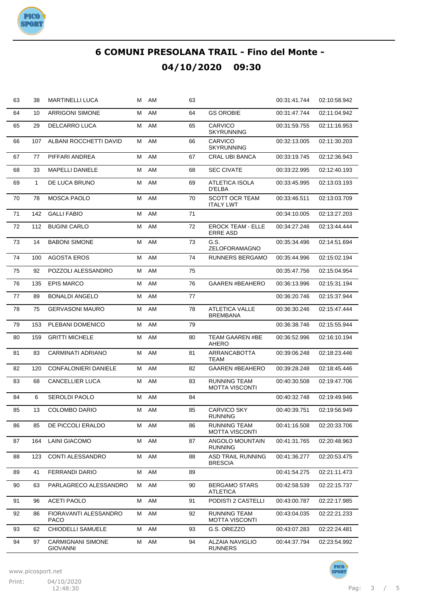

| 63 | 38           | <b>MARTINELLI LUCA</b>                      | м | AM | 63 |                                              | 00:31:41.744 | 02:10:58.942 |
|----|--------------|---------------------------------------------|---|----|----|----------------------------------------------|--------------|--------------|
| 64 | 10           | <b>ARRIGONI SIMONE</b>                      | М | AM | 64 | <b>GS OROBIE</b>                             | 00:31:47.744 | 02:11:04.942 |
| 65 | 29           | DELCARRO LUCA                               | Μ | AM | 65 | CARVICO<br>SKYRUNNING                        | 00:31:59.755 | 02:11:16.953 |
| 66 | 107          | ALBANI ROCCHETTI DAVID                      | М | AM | 66 | CARVICO<br>SKYRUNNING                        | 00:32:13.005 | 02:11:30.203 |
| 67 | 77           | PIFFARI ANDREA                              | м | AM | 67 | <b>CRAL UBI BANCA</b>                        | 00:33:19.745 | 02:12:36.943 |
| 68 | 33           | <b>MAPELLI DANIELE</b>                      | м | AM | 68 | <b>SEC CIVATE</b>                            | 00:33:22.995 | 02:12:40.193 |
| 69 | $\mathbf{1}$ | DE LUCA BRUNO                               | м | AM | 69 | ATLETICA ISOLA<br>D'ELBA                     | 00:33:45.995 | 02:13:03.193 |
| 70 | 78           | <b>MOSCA PAOLO</b>                          | М | AM | 70 | <b>SCOTT OCR TEAM</b><br><b>ITALY LWT</b>    | 00:33:46.511 | 02:13:03.709 |
| 71 | 142          | <b>GALLI FABIO</b>                          | М | AM | 71 |                                              | 00:34:10.005 | 02:13:27.203 |
| 72 | 112          | <b>BUGINI CARLO</b>                         | Μ | AM | 72 | <b>EROCK TEAM - ELLE</b><br><b>ERRE ASD</b>  | 00:34:27.246 | 02:13:44.444 |
| 73 | 14           | <b>BABONI SIMONE</b>                        | м | AM | 73 | G.S.<br>ZELOFORAMAGNO                        | 00:35:34.496 | 02:14:51.694 |
| 74 | 100          | <b>AGOSTA EROS</b>                          | М | AM | 74 | RUNNERS BERGAMO                              | 00:35:44.996 | 02:15:02.194 |
| 75 | 92           | POZZOLI ALESSANDRO                          | Μ | AM | 75 |                                              | 00:35:47.756 | 02:15:04.954 |
| 76 | 135          | <b>EPIS MARCO</b>                           | М | AM | 76 | <b>GAAREN #BEAHERO</b>                       | 00:36:13.996 | 02:15:31.194 |
| 77 | 89           | <b>BONALDI ANGELO</b>                       | Μ | AM | 77 |                                              | 00:36:20.746 | 02:15:37.944 |
| 78 | 75           | <b>GERVASONI MAURO</b>                      | Μ | AM | 78 | ATLETICA VALLE<br>BREMBANA                   | 00:36:30.246 | 02:15:47.444 |
| 79 | 153          | PLEBANI DOMENICO                            | м | AM | 79 |                                              | 00:36:38.746 | 02:15:55.944 |
| 80 | 159          | <b>GRITTI MICHELE</b>                       | Μ | AM | 80 | TEAM GAAREN #BE<br><b>AHERO</b>              | 00:36:52.996 | 02:16:10.194 |
| 81 | 83           | CARMINATI ADRIANO                           | м | AM | 81 | <b>ARRANCABOTTA</b><br>TEAM                  | 00:39:06.248 | 02:18:23.446 |
| 82 | 120          | <b>CONFALONIERI DANIELE</b>                 | м | AM | 82 | <b>GAAREN #BEAHERO</b>                       | 00:39:28.248 | 02:18:45.446 |
| 83 | 68           | <b>CANCELLIER LUCA</b>                      | Μ | AM | 83 | RUNNING TEAM<br><b>MOTTA VISCONTI</b>        | 00:40:30.508 | 02:19:47.706 |
| 84 | 6            | SEROLDI PAOLO                               | м | AM | 84 |                                              | 00:40:32.748 | 02:19:49.946 |
| 85 | 13           | <b>COLOMBO DARIO</b>                        | м | AM | 85 | <b>CARVICO SKY</b><br><b>RUNNING</b>         | 00:40:39.751 | 02:19:56.949 |
| 86 | 85           | DE PICCOLI ERALDO                           | м | AM | 86 | RUNNING TEAM<br>MOTTA VISCONTI               | 00:41:16.508 | 02:20:33.706 |
| 87 | 164          | <b>LAINI GIACOMO</b>                        | М | AM | 87 | ANGOLO MOUNTAIN<br><b>RUNNING</b>            | 00:41:31.765 | 02:20:48.963 |
| 88 | 123          | CONTI ALESSANDRO                            | Μ | AM | 88 | ASD TRAIL RUNNING<br><b>BRESCIA</b>          | 00:41:36.277 | 02:20:53.475 |
| 89 | 41           | <b>FERRANDI DARIO</b>                       | М | AM | 89 |                                              | 00:41:54.275 | 02:21:11.473 |
| 90 | 63           | PARLAGRECO ALESSANDRO                       | м | AM | 90 | <b>BERGAMO STARS</b><br><b>ATLETICA</b>      | 00:42:58.539 | 02:22:15.737 |
| 91 | 96           | <b>ACETI PAOLO</b>                          | м | AM | 91 | PODISTI 2 CASTELLI                           | 00:43:00.787 | 02:22:17.985 |
| 92 | 86           | FIORAVANTI ALESSANDRO<br>PACO               | M | AM | 92 | <b>RUNNING TEAM</b><br><b>MOTTA VISCONTI</b> | 00:43:04.035 | 02:22:21.233 |
| 93 | 62           | CHIODELLI SAMUELE                           | Μ | AM | 93 | G.S. OREZZO                                  | 00:43:07.283 | 02:22:24.481 |
| 94 | 97           | <b>CARMIGNANI SIMONE</b><br><b>GIOVANNI</b> | М | AM | 94 | <b>ALZAIA NAVIGLIO</b><br><b>RUNNERS</b>     | 00:44:37.794 | 02:23:54.992 |



PICO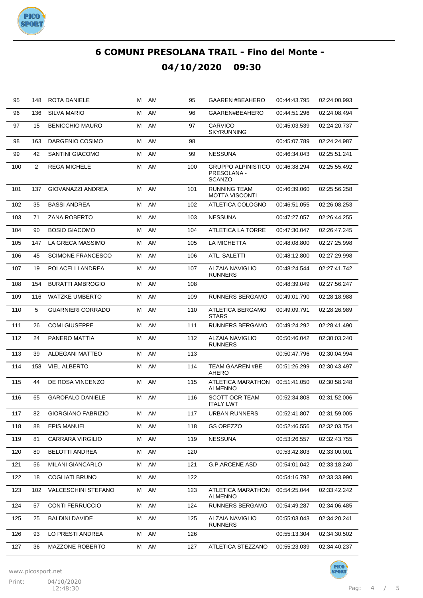

| 95  | 148 | ROTA DANIELE               | м | AM | 95  | <b>GAAREN #BEAHERO</b>                       | 00:44:43.795 | 02:24:00.993 |
|-----|-----|----------------------------|---|----|-----|----------------------------------------------|--------------|--------------|
| 96  | 136 | <b>SILVA MARIO</b>         | М | AM | 96  | GAAREN#BEAHERO                               | 00:44:51.296 | 02:24:08.494 |
| 97  | 15  | <b>BENICCHIO MAURO</b>     | М | AM | 97  | <b>CARVICO</b><br><b>SKYRUNNING</b>          | 00:45:03.539 | 02:24:20.737 |
| 98  | 163 | DARGENIO COSIMO            | м | AM | 98  |                                              | 00:45:07.789 | 02:24:24.987 |
| 99  | 42  | <b>SANTINI GIACOMO</b>     | м | AM | 99  | <b>NESSUNA</b>                               | 00:46:34.043 | 02:25:51.241 |
| 100 | 2   | <b>REGA MICHELE</b>        | М | AM | 100 | GRUPPO ALPINISTICO<br>PRESOLANA -<br>SCANZO  | 00:46:38.294 | 02:25:55.492 |
| 101 | 137 | <b>GIOVANAZZI ANDREA</b>   | м | AM | 101 | <b>RUNNING TEAM</b><br><b>MOTTA VISCONTI</b> | 00:46:39.060 | 02:25:56.258 |
| 102 | 35  | <b>BASSI ANDREA</b>        | м | AM | 102 | ATLETICA COLOGNO                             | 00:46:51.055 | 02:26:08.253 |
| 103 | 71  | <b>ZANA ROBERTO</b>        | м | AM | 103 | <b>NESSUNA</b>                               | 00:47:27.057 | 02:26:44.255 |
| 104 | 90  | <b>BOSIO GIACOMO</b>       | м | AM | 104 | ATLETICA LA TORRE                            | 00:47:30.047 | 02:26:47.245 |
| 105 | 147 | LA GRECA MASSIMO           | м | AM | 105 | LA MICHETTA                                  | 00:48:08.800 | 02:27:25.998 |
| 106 | 45  | <b>SCIMONE FRANCESCO</b>   | м | AM | 106 | <b>ATL. SALETTI</b>                          | 00:48:12.800 | 02:27:29.998 |
| 107 | 19  | POLACELLI ANDREA           | м | AM | 107 | <b>ALZAIA NAVIGLIO</b><br><b>RUNNERS</b>     | 00:48:24.544 | 02:27:41.742 |
| 108 | 154 | <b>BURATTI AMBROGIO</b>    | м | AM | 108 |                                              | 00:48:39.049 | 02:27:56.247 |
| 109 | 116 | <b>WATZKE UMBERTO</b>      | м | AM | 109 | <b>RUNNERS BERGAMO</b>                       | 00:49:01.790 | 02:28:18.988 |
| 110 | 5   | <b>GUARNIERI CORRADO</b>   | м | AM | 110 | ATLETICA BERGAMO<br><b>STARS</b>             | 00:49:09.791 | 02:28:26.989 |
| 111 | 26  | <b>COMI GIUSEPPE</b>       | М | AM | 111 | <b>RUNNERS BERGAMO</b>                       | 00:49:24.292 | 02:28:41.490 |
| 112 | 24  | PANERO MATTIA              | М | AM | 112 | <b>ALZAIA NAVIGLIO</b><br><b>RUNNERS</b>     | 00:50:46.042 | 02:30:03.240 |
| 113 | 39  | <b>ALDEGANI MATTEO</b>     | м | AM | 113 |                                              | 00:50:47.796 | 02:30:04.994 |
| 114 | 158 | <b>VIEL ALBERTO</b>        | Μ | AM | 114 | <b>TEAM GAAREN #BE</b><br><b>AHERO</b>       | 00:51:26.299 | 02:30:43.497 |
| 115 | 44  | DE ROSA VINCENZO           | м | AM | 115 | ATLETICA MARATHON<br><b>ALMENNO</b>          | 00:51:41.050 | 02:30:58.248 |
| 116 | 65  | <b>GAROFALO DANIELE</b>    | Μ | AM | 116 | <b>SCOTT OCR TEAM</b><br><b>ITALY LWT</b>    | 00:52:34.808 | 02:31:52.006 |
| 117 | 82  | <b>GIORGIANO FABRIZIO</b>  | м | AM | 117 | <b>URBAN RUNNERS</b>                         | 00:52:41.807 | 02:31:59.005 |
| 118 | 88  | <b>EPIS MANUEL</b>         | м | AM | 118 | GS OREZZO                                    | 00:52:46.556 | 02:32:03.754 |
| 119 | 81  | <b>CARRARA VIRGILIO</b>    | Μ | AM | 119 | <b>NESSUNA</b>                               | 00:53:26.557 | 02:32:43.755 |
| 120 | 80  | <b>BELOTTI ANDREA</b>      | М | AM | 120 |                                              | 00:53:42.803 | 02:33:00.001 |
| 121 | 56  | MILANI GIANCARLO           | М | AM | 121 | <b>G.P.ARCENE ASD</b>                        | 00:54:01.042 | 02:33:18.240 |
| 122 | 18  | <b>COGLIATI BRUNO</b>      | М | AM | 122 |                                              | 00:54:16.792 | 02:33:33.990 |
| 123 | 102 | <b>VALCESCHINI STEFANO</b> | Μ | AM | 123 | ATLETICA MARATHON<br><b>ALMENNO</b>          | 00:54:25.044 | 02:33:42.242 |
| 124 | 57  | <b>CONTI FERRUCCIO</b>     | Μ | AM | 124 | RUNNERS BERGAMO                              | 00:54:49.287 | 02:34:06.485 |
| 125 | 25  | BALDINI DAVIDE             | м | AM | 125 | ALZAIA NAVIGLIO<br><b>RUNNERS</b>            | 00:55:03.043 | 02:34:20.241 |
| 126 | 93  | LO PRESTI ANDREA           | М | AM | 126 |                                              | 00:55:13.304 | 02:34:30.502 |
| 127 | 36  | MAZZONE ROBERTO            | Μ | AM | 127 | ATLETICA STEZZANO                            | 00:55:23.039 | 02:34:40.237 |

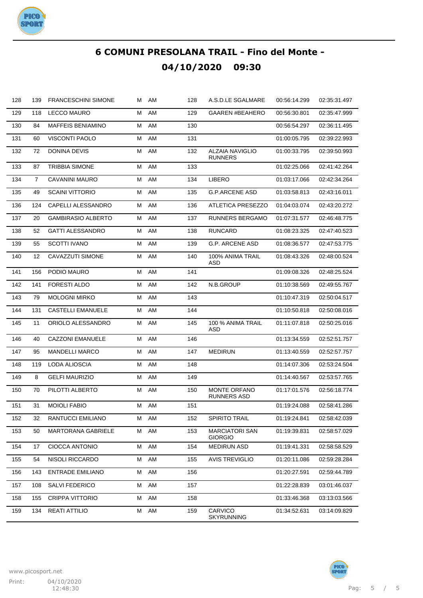

| 128 | 139            | <b>FRANCESCHINI SIMONE</b> |   | M AM | 128 | A.S.D.LE SGALMARE                        | 00:56:14.299 | 02:35:31.497 |
|-----|----------------|----------------------------|---|------|-----|------------------------------------------|--------------|--------------|
| 129 | 118            | <b>LECCO MAURO</b>         | м | AM   | 129 | <b>GAAREN #BEAHERO</b>                   | 00:56:30.801 | 02:35:47.999 |
| 130 | 84             | <b>MAFFEIS BENIAMINO</b>   | Μ | AM   | 130 |                                          | 00:56:54.297 | 02:36:11.495 |
| 131 | 60             | <b>VISCONTI PAOLO</b>      | Μ | AM   | 131 |                                          | 01:00:05.795 | 02:39:22.993 |
| 132 | 72             | DONINA DEVIS               | Μ | AM   | 132 | <b>ALZAIA NAVIGLIO</b><br><b>RUNNERS</b> | 01:00:33.795 | 02:39:50.993 |
| 133 | 87             | <b>TRIBBIA SIMONE</b>      | Μ | AM   | 133 |                                          | 01:02:25.066 | 02:41:42.264 |
| 134 | $\overline{7}$ | CAVANINI MAURO             | Μ | AM   | 134 | <b>LIBERO</b>                            | 01:03:17.066 | 02:42:34.264 |
| 135 | 49             | <b>SCAINI VITTORIO</b>     | М | AM   | 135 | <b>G.P.ARCENE ASD</b>                    | 01:03:58.813 | 02:43:16.011 |
| 136 | 124            | CAPELLI ALESSANDRO         | Μ | AM   | 136 | <b>ATLETICA PRESEZZO</b>                 | 01:04:03.074 | 02:43:20.272 |
| 137 | 20             | <b>GAMBIRASIO ALBERTO</b>  | М | AM   | 137 | RUNNERS BERGAMO                          | 01:07:31.577 | 02:46:48.775 |
| 138 | 52             | <b>GATTI ALESSANDRO</b>    | М | AM   | 138 | <b>RUNCARD</b>                           | 01:08:23.325 | 02:47:40.523 |
| 139 | 55             | <b>SCOTTI IVANO</b>        | М | AM   | 139 | <b>G.P. ARCENE ASD</b>                   | 01:08:36.577 | 02:47:53.775 |
| 140 | 12             | CAVAZZUTI SIMONE           | М | AM   | 140 | 100% ANIMA TRAIL<br>ASD                  | 01:08:43.326 | 02:48:00.524 |
| 141 | 156            | PODIO MAURO                | м | AM   | 141 |                                          | 01:09:08.326 | 02:48:25.524 |
| 142 | 141            | <b>FORESTI ALDO</b>        | М | AM   | 142 | N.B.GROUP                                | 01:10:38.569 | 02:49:55.767 |
| 143 | 79             | <b>MOLOGNI MIRKO</b>       | М | AM   | 143 |                                          | 01:10:47.319 | 02:50:04.517 |
| 144 | 131            | <b>CASTELLI EMANUELE</b>   | М | AM   | 144 |                                          | 01:10:50.818 | 02:50:08.016 |
| 145 | 11             | ORIOLO ALESSANDRO          | М | AM   | 145 | 100 % ANIMA TRAIL<br>ASD                 | 01:11:07.818 | 02:50:25.016 |
| 146 | 40             | <b>CAZZONI EMANUELE</b>    | М | AM   | 146 |                                          | 01:13:34.559 | 02:52:51.757 |
| 147 | 95             | <b>MANDELLI MARCO</b>      | М | AM   | 147 | <b>MEDIRUN</b>                           | 01:13:40.559 | 02:52:57.757 |
| 148 | 119            | LODA ALIOSCIA              | М | AM   | 148 |                                          | 01:14:07.306 | 02:53:24.504 |
| 149 | 8              | <b>GELFI MAURIZIO</b>      | М | AM   | 149 |                                          | 01:14:40.567 | 02:53:57.765 |
| 150 | 70             | PILOTTI ALBERTO            | М | AM   | 150 | MONTE ORFANO<br><b>RUNNERS ASD</b>       | 01:17:01.576 | 02:56:18.774 |
| 151 | 31             | <b>MOIOLI FABIO</b>        | Μ | AM   | 151 |                                          | 01:19:24.088 | 02:58:41.286 |
| 152 | 32             | RANTUCCI EMILIANO          | М | AM   | 152 | <b>SPIRITO TRAIL</b>                     | 01:19:24.841 | 02:58:42.039 |
| 153 | 50             | <b>MARTORANA GABRIELE</b>  | М | AM   | 153 | <b>MARCIATORI SAN</b><br><b>GIORGIO</b>  | 01:19:39.831 | 02:58:57.029 |
| 154 | 17             | CIOCCA ANTONIO             | Μ | AM   | 154 | <b>MEDIRUN ASD</b>                       | 01:19:41.331 | 02:58:58.529 |
| 155 | 54             | NISOLI RICCARDO            | М | AM   | 155 | <b>AVIS TREVIGLIO</b>                    | 01:20:11.086 | 02:59:28.284 |
| 156 | 143            | <b>ENTRADE EMILIANO</b>    | М | AM   | 156 |                                          | 01:20:27.591 | 02:59:44.789 |
| 157 | 108            | SALVI FEDERICO             | Μ | AM   | 157 |                                          | 01:22:28.839 | 03:01:46.037 |
| 158 | 155            | <b>CRIPPA VITTORIO</b>     | М | AM   | 158 |                                          | 01:33:46.368 | 03:13:03.566 |
| 159 | 134            | <b>REATI ATTILIO</b>       | М | AM   | 159 | <b>CARVICO</b><br><b>SKYRUNNING</b>      | 01:34:52.631 | 03:14:09.829 |